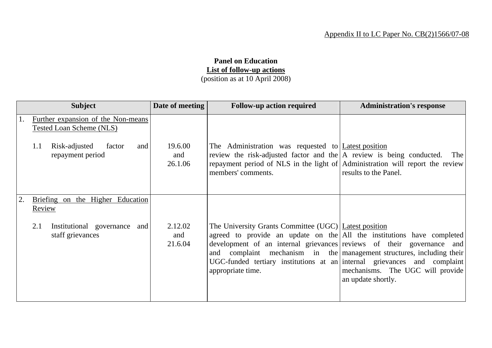## **Panel on Education List of follow-up actions** (position as at 10 April 2008)

|    | <b>Subject</b>                                                 | Date of meeting           | <b>Follow-up action required</b>                                                                                                                                                                                                                                                                                                                                                   | <b>Administration's response</b>                       |
|----|----------------------------------------------------------------|---------------------------|------------------------------------------------------------------------------------------------------------------------------------------------------------------------------------------------------------------------------------------------------------------------------------------------------------------------------------------------------------------------------------|--------------------------------------------------------|
|    | Further expansion of the Non-means<br>Tested Loan Scheme (NLS) |                           |                                                                                                                                                                                                                                                                                                                                                                                    |                                                        |
|    | Risk-adjusted<br>factor<br>1.1<br>and<br>repayment period      | 19.6.00<br>and<br>26.1.06 | The Administration was requested to Latest position<br>review the risk-adjusted factor and the $ A $ review is being conducted. The<br>repayment period of NLS in the light of Administration will report the review<br>members' comments.                                                                                                                                         | results to the Panel.                                  |
| 2. | Briefing on the Higher Education<br>Review                     |                           |                                                                                                                                                                                                                                                                                                                                                                                    |                                                        |
|    | 2.1<br>Institutional governance and<br>staff grievances        | 2.12.02<br>and<br>21.6.04 | The University Grants Committee (UGC) Latest position<br>agreed to provide an update on the All the institutions have completed<br>development of an internal grievances reviews of their governance and<br>and complaint mechanism in the management structures, including their<br>UGC-funded tertiary institutions at an internal grievances and complaint<br>appropriate time. | mechanisms. The UGC will provide<br>an update shortly. |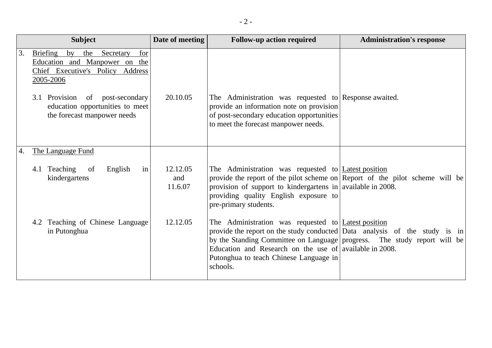|    | <b>Subject</b>                                                                                                                     | Date of meeting            | <b>Follow-up action required</b>                                                                                                                                                                                                                                                                                                      | <b>Administration's response</b> |
|----|------------------------------------------------------------------------------------------------------------------------------------|----------------------------|---------------------------------------------------------------------------------------------------------------------------------------------------------------------------------------------------------------------------------------------------------------------------------------------------------------------------------------|----------------------------------|
| 3. | <b>Briefing</b><br>for<br>by<br>Secretary<br>the<br>Education and Manpower on the<br>Chief Executive's Policy Address<br>2005-2006 |                            |                                                                                                                                                                                                                                                                                                                                       |                                  |
|    | 3.1 Provision of post-secondary<br>education opportunities to meet<br>the forecast manpower needs                                  | 20.10.05                   | The Administration was requested to Response awaited.<br>provide an information note on provision<br>of post-secondary education opportunities<br>to meet the forecast manpower needs.                                                                                                                                                |                                  |
| 4. | The Language Fund                                                                                                                  |                            |                                                                                                                                                                                                                                                                                                                                       |                                  |
|    | in<br>4.1 Teaching<br>English<br>of<br>kindergartens                                                                               | 12.12.05<br>and<br>11.6.07 | The Administration was requested to <b>Latest position</b><br>provide the report of the pilot scheme on Report of the pilot scheme will be<br>provision of support to kindergartens in available in 2008.<br>providing quality English exposure to<br>pre-primary students.                                                           |                                  |
|    | 4.2 Teaching of Chinese Language<br>in Putonghua                                                                                   | 12.12.05                   | The Administration was requested to <b>Latest position</b><br>provide the report on the study conducted Data analysis of the study is in<br>by the Standing Committee on Language progress. The study report will be<br>Education and Research on the use of available in 2008.<br>Putonghua to teach Chinese Language in<br>schools. |                                  |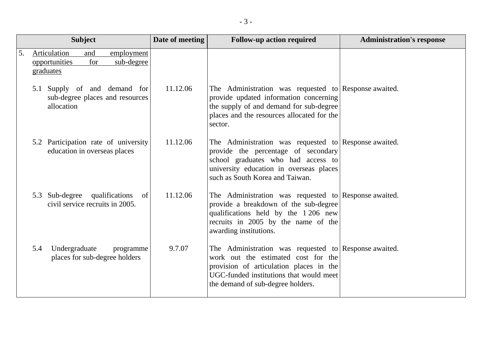|    | <b>Subject</b>                                                                       | Date of meeting | <b>Follow-up action required</b>                                                                                                                                                                                        | <b>Administration's response</b> |
|----|--------------------------------------------------------------------------------------|-----------------|-------------------------------------------------------------------------------------------------------------------------------------------------------------------------------------------------------------------------|----------------------------------|
| 5. | Articulation<br>and<br>employment<br>for<br>sub-degree<br>opportunities<br>graduates |                 |                                                                                                                                                                                                                         |                                  |
|    | 5.1 Supply of and demand for<br>sub-degree places and resources<br>allocation        | 11.12.06        | The Administration was requested to Response awaited.<br>provide updated information concerning<br>the supply of and demand for sub-degree<br>places and the resources allocated for the<br>sector.                     |                                  |
|    | 5.2 Participation rate of university<br>education in overseas places                 | 11.12.06        | The Administration was requested to Response awaited.<br>provide the percentage of secondary<br>school graduates who had access to<br>university education in overseas places<br>such as South Korea and Taiwan.        |                                  |
|    | 5.3 Sub-degree qualifications<br>of<br>civil service recruits in 2005.               | 11.12.06        | The Administration was requested to Response awaited.<br>provide a breakdown of the sub-degree<br>qualifications held by the 1 206 new<br>recruits in 2005 by the name of the<br>awarding institutions.                 |                                  |
|    | Undergraduate<br>5.4<br>programme<br>places for sub-degree holders                   | 9.7.07          | The Administration was requested to Response awaited.<br>work out the estimated cost for the<br>provision of articulation places in the<br>UGC-funded institutions that would meet<br>the demand of sub-degree holders. |                                  |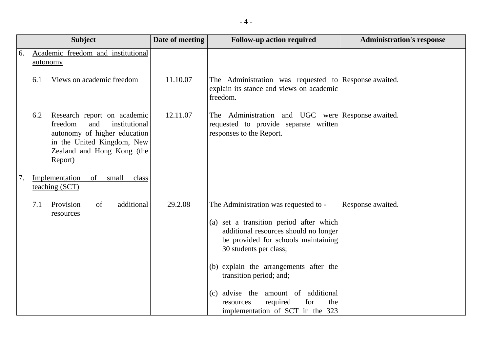|    | <b>Subject</b>                                                                                                                                              | Date of meeting           | <b>Follow-up action required</b>                                                                                                                                                                                                                                                                                                                                                        | <b>Administration's response</b> |
|----|-------------------------------------------------------------------------------------------------------------------------------------------------------------|---------------------------|-----------------------------------------------------------------------------------------------------------------------------------------------------------------------------------------------------------------------------------------------------------------------------------------------------------------------------------------------------------------------------------------|----------------------------------|
| 6. | Academic freedom and institutional<br>autonomy                                                                                                              |                           |                                                                                                                                                                                                                                                                                                                                                                                         |                                  |
|    | Views on academic freedom<br>6.1                                                                                                                            | 11.10.07                  | The Administration was requested to Response awaited.<br>explain its stance and views on academic<br>freedom.                                                                                                                                                                                                                                                                           |                                  |
|    | Research report on academic<br>6.2<br>freedom<br>and<br>autonomy of higher education<br>in the United Kingdom, New<br>Zealand and Hong Kong (the<br>Report) | 12.11.07<br>institutional | The Administration and UGC were Response awaited.<br>requested to provide separate written<br>responses to the Report.                                                                                                                                                                                                                                                                  |                                  |
| 7. | small<br>Implementation<br>of<br>teaching (SCT)                                                                                                             | class                     |                                                                                                                                                                                                                                                                                                                                                                                         |                                  |
|    | 7.1<br>Provision<br>of<br>resources                                                                                                                         | additional<br>29.2.08     | The Administration was requested to -<br>(a) set a transition period after which<br>additional resources should no longer<br>be provided for schools maintaining<br>30 students per class;<br>(b) explain the arrangements after the<br>transition period; and;<br>additional<br>(c) advise the<br>amount of<br>required<br>for<br>the<br>resources<br>implementation of SCT in the 323 | Response awaited.                |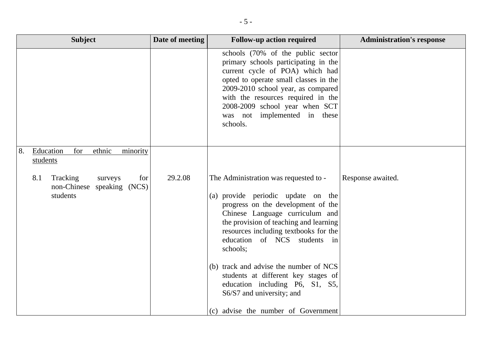| <b>Subject</b>                                                              | Date of meeting | <b>Follow-up action required</b>                                                                                                                                                                                                                                                                                                                                                                                                                                            | <b>Administration's response</b> |
|-----------------------------------------------------------------------------|-----------------|-----------------------------------------------------------------------------------------------------------------------------------------------------------------------------------------------------------------------------------------------------------------------------------------------------------------------------------------------------------------------------------------------------------------------------------------------------------------------------|----------------------------------|
|                                                                             |                 | schools (70% of the public sector<br>primary schools participating in the<br>current cycle of POA) which had<br>opted to operate small classes in the<br>2009-2010 school year, as compared<br>with the resources required in the<br>2008-2009 school year when SCT<br>was not implemented in these<br>schools.                                                                                                                                                             |                                  |
| Education<br>for<br>ethnic<br>minority<br>8.<br>students                    |                 |                                                                                                                                                                                                                                                                                                                                                                                                                                                                             |                                  |
| 8.1<br>Tracking<br>for<br>surveys<br>non-Chinese speaking (NCS)<br>students | 29.2.08         | The Administration was requested to -<br>(a) provide periodic update on the<br>progress on the development of the<br>Chinese Language curriculum and<br>the provision of teaching and learning<br>resources including textbooks for the<br>education of NCS students in<br>schools;<br>(b) track and advise the number of NCS<br>students at different key stages of<br>education including P6, S1, S5,<br>S6/S7 and university; and<br>(c) advise the number of Government | Response awaited.                |